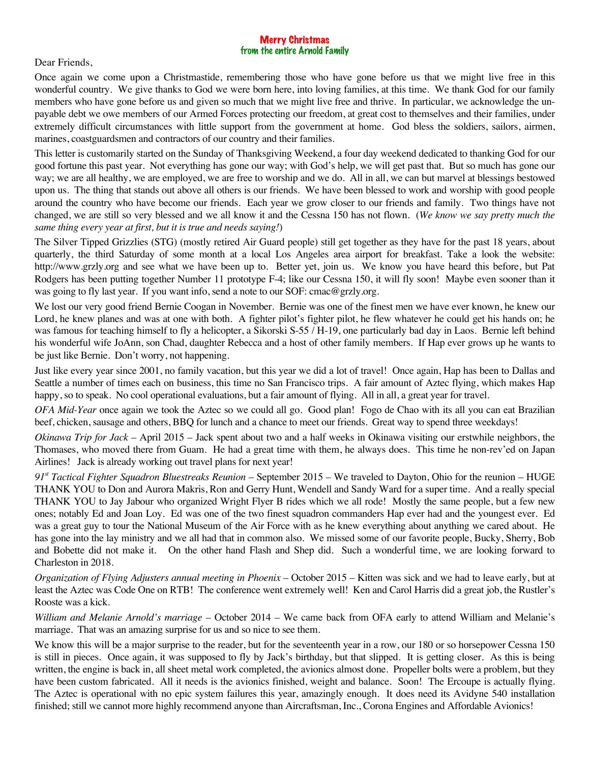## Merry Christmas from the entire Arnold Family

Dear Friends,

Once again we come upon a Christmastide, remembering those who have gone before us that we might live free in this wonderful country. We give thanks to God we were born here, into loving families, at this time. We thank God for our family members who have gone before us and given so much that we might live free and thrive. In particular, we acknowledge the unpayable debt we owe members of our Armed Forces protecting our freedom, at great cost to themselves and their families, under extremely difficult circumstances with little support from the government at home. God bless the soldiers, sailors, airmen, marines, coastguardsmen and contractors of our country and their families.

This letter is customarily started on the Sunday of Thanksgiving Weekend, a four day weekend dedicated to thanking God for our good fortune this past year. Not everything has gone our way; with God's help, we will get past that. But so much has gone our way; we are all healthy, we are employed, we are free to worship and we do. All in all, we can but marvel at blessings bestowed upon us. The thing that stands out above all others is our friends. We have been blessed to work and worship with good people around the country who have become our friends. Each year we grow closer to our friends and family. Two things have not changed, we are still so very blessed and we all know it and the Cessna 150 has not flown. (*We know we say pretty much the same thing every year at first, but it is true and needs saying!*)

The Silver Tipped Grizzlies (STG) (mostly retired Air Guard people) still get together as they have for the past 18 years, about quarterly, the third Saturday of some month at a local Los Angeles area airport for breakfast. Take a look the website: http://www.grzly.org and see what we have been up to. Better yet, join us. We know you have heard this before, but Pat Rodgers has been putting together Number 11 prototype F-4; like our Cessna 150, it will fly soon! Maybe even sooner than it was going to fly last year. If you want info, send a note to our SOF: cmac@grzly.org.

We lost our very good friend Bernie Coogan in November. Bernie was one of the finest men we have ever known, he knew our Lord, he knew planes and was at one with both. A fighter pilot's fighter pilot, he flew whatever he could get his hands on; he was famous for teaching himself to fly a helicopter, a Sikorski S-55 / H-19, one particularly bad day in Laos. Bernie left behind his wonderful wife JoAnn, son Chad, daughter Rebecca and a host of other family members. If Hap ever grows up he wants to be just like Bernie. Don't worry, not happening.

Just like every year since 2001, no family vacation, but this year we did a lot of travel! Once again, Hap has been to Dallas and Seattle a number of times each on business, this time no San Francisco trips. A fair amount of Aztec flying, which makes Hap happy, so to speak. No cool operational evaluations, but a fair amount of flying. All in all, a great year for travel.

*OFA Mid-Year* once again we took the Aztec so we could all go. Good plan! Fogo de Chao with its all you can eat Brazilian beef, chicken, sausage and others, BBQ for lunch and a chance to meet our friends. Great way to spend three weekdays!

*Okinawa Trip for Jack* – April 2015 – Jack spent about two and a half weeks in Okinawa visiting our erstwhile neighbors, the Thomases, who moved there from Guam. He had a great time with them, he always does. This time he non-rev'ed on Japan Airlines! Jack is already working out travel plans for next year!

*91st Tactical Fighter Squadron Bluestreaks Reunion* – September 2015 – We traveled to Dayton, Ohio for the reunion – HUGE THANK YOU to Don and Aurora Makris, Ron and Gerry Hunt, Wendell and Sandy Ward for a super time. And a really special THANK YOU to Jay Jabour who organized Wright Flyer B rides which we all rode! Mostly the same people, but a few new ones; notably Ed and Joan Loy. Ed was one of the two finest squadron commanders Hap ever had and the youngest ever. Ed was a great guy to tour the National Museum of the Air Force with as he knew everything about anything we cared about. He has gone into the lay ministry and we all had that in common also. We missed some of our favorite people, Bucky, Sherry, Bob and Bobette did not make it. On the other hand Flash and Shep did. Such a wonderful time, we are looking forward to Charleston in 2018.

*Organization of Flying Adjusters annual meeting in Phoenix* – October 2015 – Kitten was sick and we had to leave early, but at least the Aztec was Code One on RTB! The conference went extremely well! Ken and Carol Harris did a great job, the Rustler's Rooste was a kick.

*William and Melanie Arnold's marriage* – October 2014 – We came back from OFA early to attend William and Melanie's marriage. That was an amazing surprise for us and so nice to see them.

We know this will be a major surprise to the reader, but for the seventeenth year in a row, our 180 or so horsepower Cessna 150 is still in pieces. Once again, it was supposed to fly by Jack's birthday, but that slipped. It is getting closer. As this is being written, the engine is back in, all sheet metal work completed, the avionics almost done. Propeller bolts were a problem, but they have been custom fabricated. All it needs is the avionics finished, weight and balance. Soon! The Ercoupe is actually flying. The Aztec is operational with no epic system failures this year, amazingly enough. It does need its Avidyne 540 installation finished; still we cannot more highly recommend anyone than Aircraftsman, Inc., Corona Engines and Affordable Avionics!